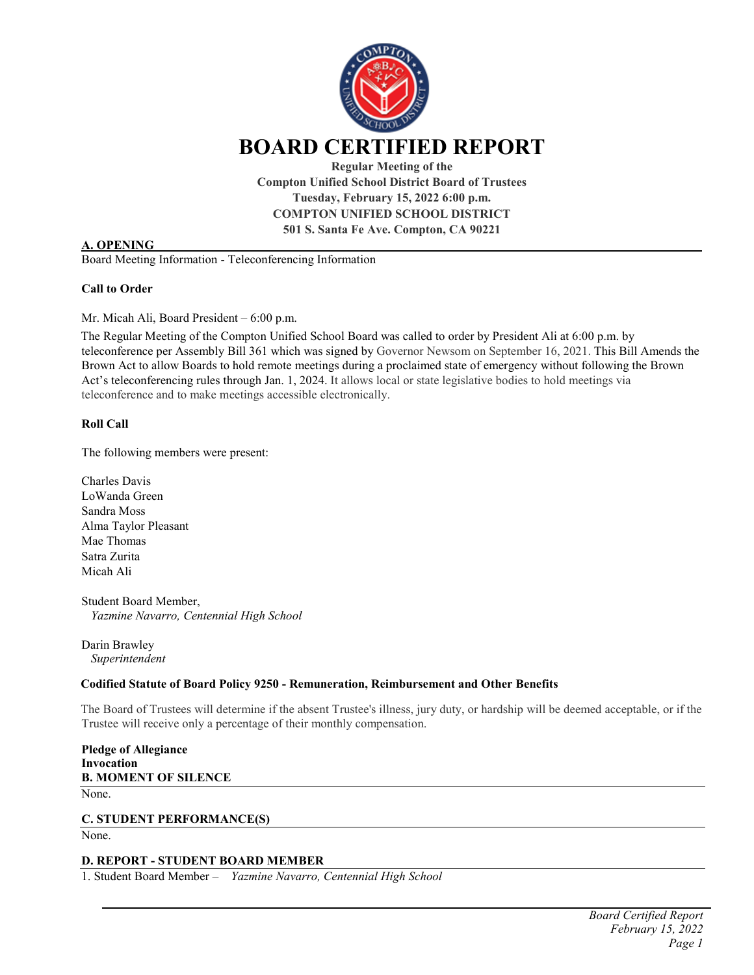

**Compton Unified School District Board of Trustees Tuesday, February 15, 2022 6:00 p.m. COMPTON UNIFIED SCHOOL DISTRICT 501 S. Santa Fe Ave. Compton, CA 90221**

### **A. OPENING**

Board Meeting Information - Teleconferencing Information

#### **Call to Order**

Mr. Micah Ali, Board President – 6:00 p.m.

The Regular Meeting of the Compton Unified School Board was called to order by President Ali at 6:00 p.m. by teleconference per Assembly Bill 361 which was signed by Governor Newsom on September 16, 2021. This Bill Amends the Brown Act to allow Boards to hold remote meetings during a proclaimed state of emergency without following the Brown Act's teleconferencing rules through Jan. 1, 2024. It allows local or state legislative bodies to hold meetings via teleconference and to make meetings accessible electronically.

### **Roll Call**

The following members were present:

Charles Davis LoWanda Green Sandra Moss Alma Taylor Pleasant Mae Thomas Satra Zurita Micah Ali

Student Board Member,  *Yazmine Navarro, Centennial High School* 

Darin Brawley *Superintendent* 

#### **Codified Statute of Board Policy 9250 - Remuneration, Reimbursement and Other Benefits**

The Board of Trustees will determine if the absent Trustee's illness, jury duty, or hardship will be deemed acceptable, or if the Trustee will receive only a percentage of their monthly compensation.

**Pledge of Allegiance Invocation B. MOMENT OF SILENCE** None.

**C. STUDENT PERFORMANCE(S)** None.

### **D. REPORT - STUDENT BOARD MEMBER**

1. Student Board Member – *Yazmine Navarro, Centennial High School*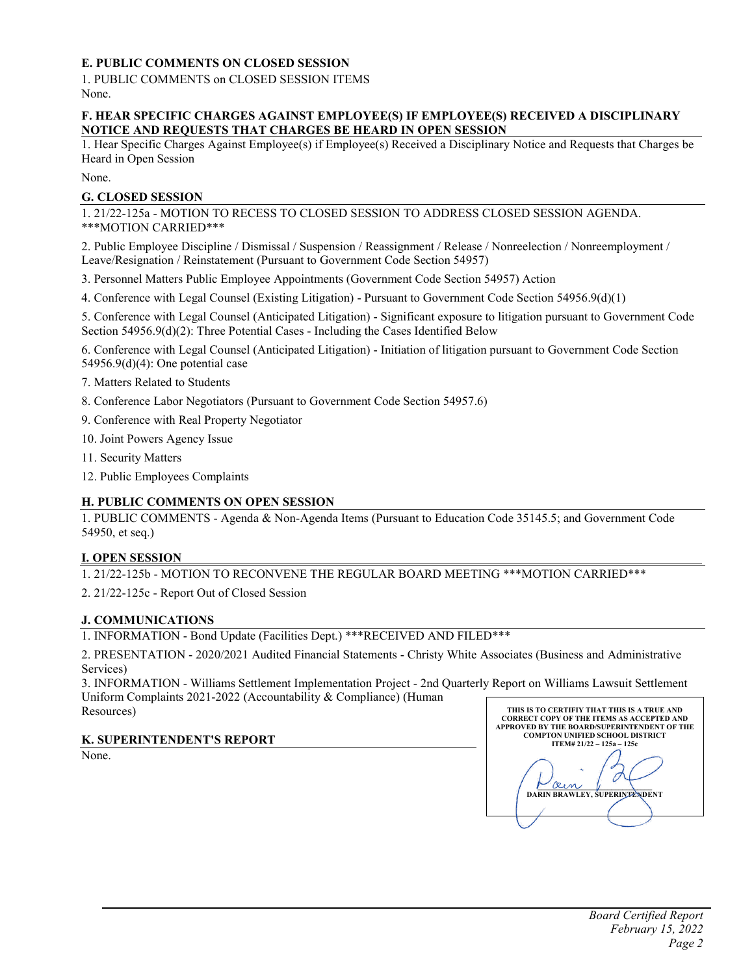# **E. PUBLIC COMMENTS ON CLOSED SESSION**

1. PUBLIC COMMENTS on CLOSED SESSION ITEMS None.

### **F. HEAR SPECIFIC CHARGES AGAINST EMPLOYEE(S) IF EMPLOYEE(S) RECEIVED A DISCIPLINARY NOTICE AND REQUESTS THAT CHARGES BE HEARD IN OPEN SESSION**

1. Hear Specific Charges Against Employee(s) if Employee(s) Received a Disciplinary Notice and Requests that Charges be Heard in Open Session

None.

## **G. CLOSED SESSION**

1. 21/22-125a - MOTION TO RECESS TO CLOSED SESSION TO ADDRESS CLOSED SESSION AGENDA. \*\*\*MOTION CARRIED\*\*\*

2. Public Employee Discipline / Dismissal / Suspension / Reassignment / Release / Nonreelection / Nonreemployment / Leave/Resignation / Reinstatement (Pursuant to Government Code Section 54957)

- 3. Personnel Matters Public Employee Appointments (Government Code Section 54957) Action
- 4. Conference with Legal Counsel (Existing Litigation) Pursuant to Government Code Section 54956.9(d)(1)

5. Conference with Legal Counsel (Anticipated Litigation) - Significant exposure to litigation pursuant to Government Code Section 54956.9(d)(2): Three Potential Cases - Including the Cases Identified Below

6. Conference with Legal Counsel (Anticipated Litigation) - Initiation of litigation pursuant to Government Code Section 54956.9(d)(4): One potential case

7. Matters Related to Students

- 8. Conference Labor Negotiators (Pursuant to Government Code Section 54957.6)
- 9. Conference with Real Property Negotiator

10. Joint Powers Agency Issue

- 11. Security Matters
- 12. Public Employees Complaints

# **H. PUBLIC COMMENTS ON OPEN SESSION**

1. PUBLIC COMMENTS - Agenda & Non-Agenda Items (Pursuant to Education Code 35145.5; and Government Code 54950, et seq.)

# **I. OPEN SESSION**

1. 21/22-125b - MOTION TO RECONVENE THE REGULAR BOARD MEETING \*\*\*MOTION CARRIED\*\*\*

2. 21/22-125c - Report Out of Closed Session

# **J. COMMUNICATIONS**

1. INFORMATION - Bond Update (Facilities Dept.) \*\*\*RECEIVED AND FILED\*\*\*

2. PRESENTATION - 2020/2021 Audited Financial Statements - Christy White Associates (Business and Administrative Services)

3. INFORMATION - Williams Settlement Implementation Project - 2nd Quarterly Report on Williams Lawsuit Settlement Uniform Complaints 2021-2022 (Accountability & Compliance) (Human Resources) **THIS IS TO CERTIFIY THAT THIS IS A TRUE AND**

**K. SUPERINTENDENT'S REPORT**

None.

| THIS IS TO CERTIFIY THAT THIS IS A TRUE AND<br><b>CORRECT COPY OF THE ITEMS AS ACCEPTED AND</b><br><b>APPROVED BY THE BOARD/SUPERINTENDENT OF THE</b><br><b>COMPTON UNIFIED SCHOOL DISTRICT</b> |
|-------------------------------------------------------------------------------------------------------------------------------------------------------------------------------------------------|
| $ITEM# 21/22 - 125a - 125c$                                                                                                                                                                     |
| <b>DARIN BRAWLEY, SUPERINTENDENT</b>                                                                                                                                                            |
|                                                                                                                                                                                                 |
|                                                                                                                                                                                                 |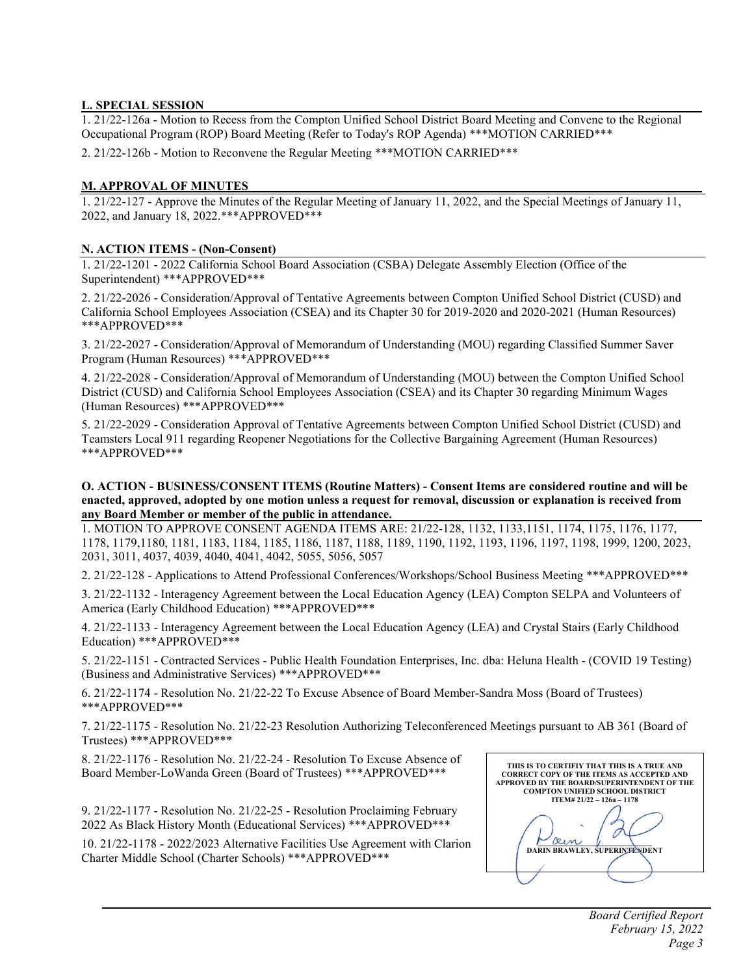# **L. SPECIAL SESSION**

1. 21/22-126a - Motion to Recess from the Compton Unified School District Board Meeting and Convene to the Regional Occupational Program (ROP) Board Meeting (Refer to Today's ROP Agenda) \*\*\*MOTION CARRIED\*\*\*

2. 21/22-126b - Motion to Reconvene the Regular Meeting \*\*\*MOTION CARRIED\*\*\*

## **M. APPROVAL OF MINUTES**

1. 21/22-127 - Approve the Minutes of the Regular Meeting of January 11, 2022, and the Special Meetings of January 11, 2022, and January 18, 2022.\*\*\*APPROVED\*\*\*

## **N. ACTION ITEMS - (Non-Consent)**

1. 21/22-1201 - 2022 California School Board Association (CSBA) Delegate Assembly Election (Office of the Superintendent) \*\*\*APPROVED\*\*\*

2. 21/22-2026 - Consideration/Approval of Tentative Agreements between Compton Unified School District (CUSD) and California School Employees Association (CSEA) and its Chapter 30 for 2019-2020 and 2020-2021 (Human Resources) \*\*\*APPROVED\*\*\*

3. 21/22-2027 - Consideration/Approval of Memorandum of Understanding (MOU) regarding Classified Summer Saver Program (Human Resources) \*\*\*APPROVED\*\*\*

4. 21/22-2028 - Consideration/Approval of Memorandum of Understanding (MOU) between the Compton Unified School District (CUSD) and California School Employees Association (CSEA) and its Chapter 30 regarding Minimum Wages (Human Resources) \*\*\*APPROVED\*\*\*

5. 21/22-2029 - Consideration Approval of Tentative Agreements between Compton Unified School District (CUSD) and Teamsters Local 911 regarding Reopener Negotiations for the Collective Bargaining Agreement (Human Resources) \*\*\*APPROVED\*\*\*

#### **O. ACTION - BUSINESS/CONSENT ITEMS (Routine Matters) - Consent Items are considered routine and will be** enacted, approved, adopted by one motion unless a request for removal, discussion or explanation is received from **any Board Member or member of the public in attendance.**

1. MOTION TO APPROVE CONSENT AGENDA ITEMS ARE: 21/22-128, 1132, 1133,1151, 1174, 1175, 1176, 1177, 1178, 1179,1180, 1181, 1183, 1184, 1185, 1186, 1187, 1188, 1189, 1190, 1192, 1193, 1196, 1197, 1198, 1999, 1200, 2023, 2031, 3011, 4037, 4039, 4040, 4041, 4042, 5055, 5056, 5057

2. 21/22-128 - Applications to Attend Professional Conferences/Workshops/School Business Meeting \*\*\*APPROVED\*\*\*

3. 21/22-1132 - Interagency Agreement between the Local Education Agency (LEA) Compton SELPA and Volunteers of America (Early Childhood Education) \*\*\*APPROVED\*\*\*

4. 21/22-1133 - Interagency Agreement between the Local Education Agency (LEA) and Crystal Stairs (Early Childhood Education) \*\*\*APPROVED\*\*\*

5. 21/22-1151 - Contracted Services - Public Health Foundation Enterprises, Inc. dba: Heluna Health - (COVID 19 Testing) (Business and Administrative Services) \*\*\*APPROVED\*\*\*

6. 21/22-1174 - Resolution No. 21/22-22 To Excuse Absence of Board Member-Sandra Moss (Board of Trustees) \*\*\*APPROVED\*\*\*

7. 21/22-1175 - Resolution No. 21/22-23 Resolution Authorizing Teleconferenced Meetings pursuant to AB 361 (Board of Trustees) \*\*\*APPROVED\*\*\*

8. 21/22-1176 - Resolution No. 21/22-24 - Resolution To Excuse Absence of Board Member-LoWanda Green (Board of Trustees) \*\*\*APPROVED\*\*\*

9. 21/22-1177 - Resolution No. 21/22-25 - Resolution Proclaiming February 2022 As Black History Month (Educational Services) \*\*\*APPROVED\*\*\*

10. 21/22-1178 - 2022/2023 Alternative Facilities Use Agreement with Clarion Charter Middle School (Charter Schools) \*\*\*APPROVED\*\*\*

| THIS IS TO CERTIFIY THAT THIS IS A TRUE AND<br><b>CORRECT COPY OF THE ITEMS AS ACCEPTED AND</b><br><b>APPROVED BY THE BOARD/SUPERINTENDENT OF THE</b><br><b>COMPTON UNIFIED SCHOOL DISTRICT</b> |
|-------------------------------------------------------------------------------------------------------------------------------------------------------------------------------------------------|
| ITEM# 21/22 - 126a - 1178                                                                                                                                                                       |
| <b>DARIN BRAWLEY, SUPERINTENDENT</b>                                                                                                                                                            |
|                                                                                                                                                                                                 |
|                                                                                                                                                                                                 |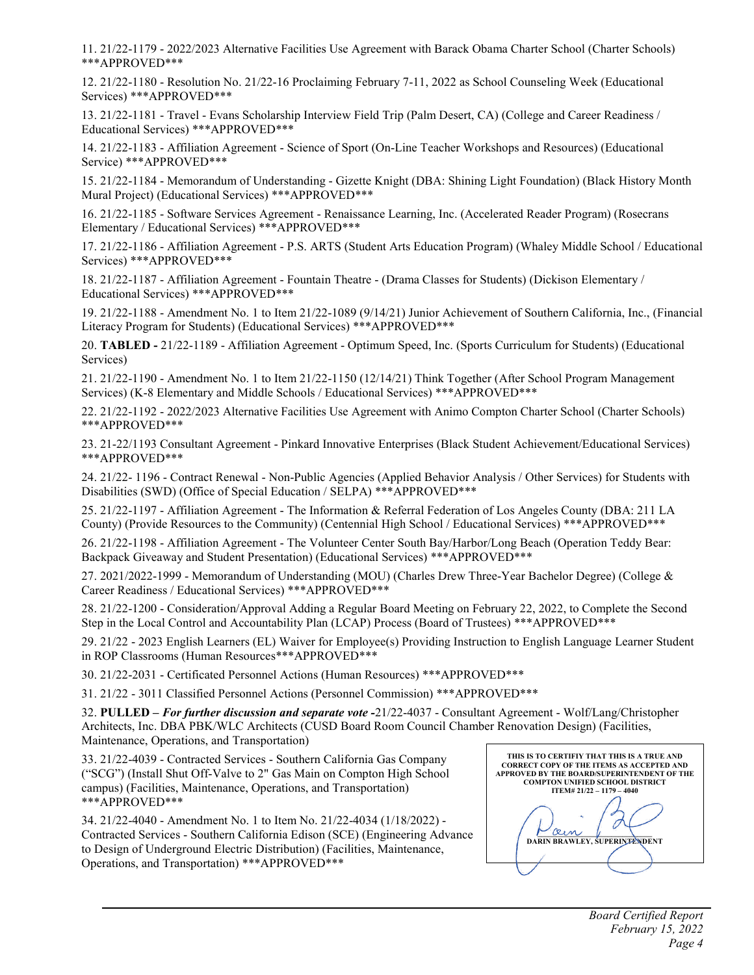11. 21/22-1179 - 2022/2023 Alternative Facilities Use Agreement with Barack Obama Charter School (Charter Schools) \*\*\*APPROVED\*\*\*

12. 21/22-1180 - Resolution No. 21/22-16 Proclaiming February 7-11, 2022 as School Counseling Week (Educational Services) \*\*\*APPROVED\*\*\*

13. 21/22-1181 - Travel - Evans Scholarship Interview Field Trip (Palm Desert, CA) (College and Career Readiness / Educational Services) \*\*\*APPROVED\*\*\*

14. 21/22-1183 - Affiliation Agreement - Science of Sport (On-Line Teacher Workshops and Resources) (Educational Service) \*\*\*APPROVED\*\*\*

15. 21/22-1184 - Memorandum of Understanding - Gizette Knight (DBA: Shining Light Foundation) (Black History Month Mural Project) (Educational Services) \*\*\*APPROVED\*\*\*

16. 21/22-1185 - Software Services Agreement - Renaissance Learning, Inc. (Accelerated Reader Program) (Rosecrans Elementary / Educational Services) \*\*\*APPROVED\*\*\*

17. 21/22-1186 - Affiliation Agreement - P.S. ARTS (Student Arts Education Program) (Whaley Middle School / Educational Services) \*\*\*APPROVED\*\*\*

18. 21/22-1187 - Affiliation Agreement - Fountain Theatre - (Drama Classes for Students) (Dickison Elementary / Educational Services) \*\*\*APPROVED\*\*\*

19. 21/22-1188 - Amendment No. 1 to Item 21/22-1089 (9/14/21) Junior Achievement of Southern California, Inc., (Financial Literacy Program for Students) (Educational Services) \*\*\*APPROVED\*\*\*

20. **TABLED -** 21/22-1189 - Affiliation Agreement - Optimum Speed, Inc. (Sports Curriculum for Students) (Educational Services)

21. 21/22-1190 - Amendment No. 1 to Item 21/22-1150 (12/14/21) Think Together (After School Program Management Services) (K-8 Elementary and Middle Schools / Educational Services) \*\*\*APPROVED\*\*\*

22. 21/22-1192 - 2022/2023 Alternative Facilities Use Agreement with Animo Compton Charter School (Charter Schools) \*\*\*APPROVED\*\*\*

23. 21-22/1193 Consultant Agreement - Pinkard Innovative Enterprises (Black Student Achievement/Educational Services) \*\*\*APPROVED\*\*\*

24. 21/22- 1196 - Contract Renewal - Non-Public Agencies (Applied Behavior Analysis / Other Services) for Students with Disabilities (SWD) (Office of Special Education / SELPA) \*\*\*APPROVED\*\*\*

25. 21/22-1197 - Affiliation Agreement - The Information & Referral Federation of Los Angeles County (DBA: 211 LA County) (Provide Resources to the Community) (Centennial High School / Educational Services) \*\*\*APPROVED\*\*\*

26. 21/22-1198 - Affiliation Agreement - The Volunteer Center South Bay/Harbor/Long Beach (Operation Teddy Bear: Backpack Giveaway and Student Presentation) (Educational Services) \*\*\*APPROVED\*\*\*

27. 2021/2022-1999 - Memorandum of Understanding (MOU) (Charles Drew Three-Year Bachelor Degree) (College & Career Readiness / Educational Services) \*\*\*APPROVED\*\*\*

28. 21/22-1200 - Consideration/Approval Adding a Regular Board Meeting on February 22, 2022, to Complete the Second Step in the Local Control and Accountability Plan (LCAP) Process (Board of Trustees) \*\*\*APPROVED\*\*\*

29. 21/22 - 2023 English Learners (EL) Waiver for Employee(s) Providing Instruction to English Language Learner Student in ROP Classrooms (Human Resources\*\*\*APPROVED\*\*\*

30. 21/22-2031 - Certificated Personnel Actions (Human Resources) \*\*\*APPROVED\*\*\*

31. 21/22 - 3011 Classified Personnel Actions (Personnel Commission) \*\*\*APPROVED\*\*\*

32. **PULLED –** *For further discussion and separate vote -*21/22-4037 - Consultant Agreement - Wolf/Lang/Christopher Architects, Inc. DBA PBK/WLC Architects (CUSD Board Room Council Chamber Renovation Design) (Facilities, Maintenance, Operations, and Transportation)

33. 21/22-4039 - Contracted Services - Southern California Gas Company ("SCG") (Install Shut Off-Valve to 2" Gas Main on Compton High School campus) (Facilities, Maintenance, Operations, and Transportation) \*\*\*APPROVED\*\*\*

34. 21/22-4040 - Amendment No. 1 to Item No. 21/22-4034 (1/18/2022) - Contracted Services - Southern California Edison (SCE) (Engineering Advance to Design of Underground Electric Distribution) (Facilities, Maintenance, Operations, and Transportation) \*\*\*APPROVED\*\*\*

| THIS IS TO CERTIFIY THAT THIS IS A TRUE AND<br><b>CORRECT COPY OF THE ITEMS AS ACCEPTED AND</b><br><b>APPROVED BY THE BOARD/SUPERINTENDENT OF THE</b><br><b>COMPTON UNIFIED SCHOOL DISTRICT</b> |
|-------------------------------------------------------------------------------------------------------------------------------------------------------------------------------------------------|
| $ITEM# 21/22 - 1179 - 4040$                                                                                                                                                                     |
|                                                                                                                                                                                                 |
| <b>DARIN BRAWLEY, SUPERINTENDENT</b>                                                                                                                                                            |
|                                                                                                                                                                                                 |
|                                                                                                                                                                                                 |